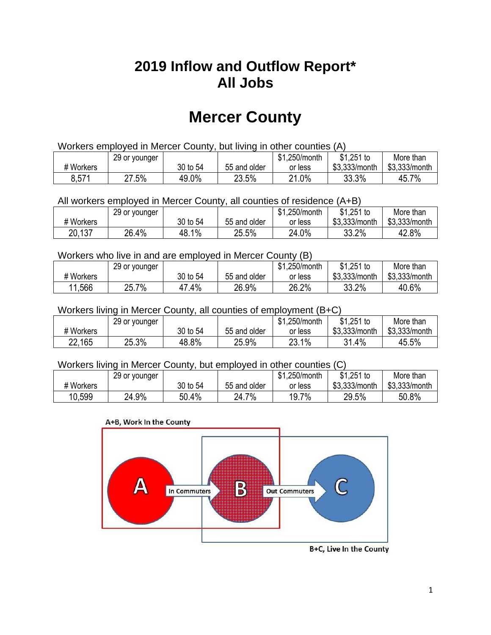## **2019 Inflow and Outflow Report\* All Jobs**

# **Mercer County**

| Workers employed in Mercer County, but living in other counties (A) |                                                           |          |              |         |               |               |  |  |  |
|---------------------------------------------------------------------|-----------------------------------------------------------|----------|--------------|---------|---------------|---------------|--|--|--|
|                                                                     | \$1.251 to<br>\$1.250/month<br>More than<br>29 or younger |          |              |         |               |               |  |  |  |
| # Workers                                                           |                                                           | 30 to 54 | 55 and older | or less | \$3.333/month | \$3,333/month |  |  |  |
| 8,571                                                               | 27.5%                                                     | 49.0%    | 23.5%        | 21.0%   | 33.3%         | 45.7%         |  |  |  |

All workers employed in Mercer County, all counties of residence (A+B)

|           | 29 or younger |          |              | \$1,250/month | $$1,251$ to   | More than     |
|-----------|---------------|----------|--------------|---------------|---------------|---------------|
| # Workers |               | 30 to 54 | 55 and older | or less       | \$3,333/month | \$3,333/month |
| 20,137    | 26.4%         | 48.1%    | 25.5%        | 24.0%         | 33.2%         | 42.8%         |

#### Workers who live in and are employed in Mercer County (B)

|           | 29 or younger |          |              | \$1,250/month | $$1,251$ to   | More than     |
|-----------|---------------|----------|--------------|---------------|---------------|---------------|
| # Workers |               | 30 to 54 | 55 and older | or less       | \$3,333/month | \$3,333/month |
| 11,566    | 25.7%         | .4%      | 26.9%        | 26.2%         | 33.2%         | 40.6%         |

#### Workers living in Mercer County, all counties of employment (B+C)

|           | 29 or younger |          |              | \$1,250/month | \$1,251 to    | More than     |
|-----------|---------------|----------|--------------|---------------|---------------|---------------|
| # Workers |               | 30 to 54 | 55 and older | or less       | \$3,333/month | \$3,333/month |
| 22,165    | 25.3%         | 48.8%    | 25.9%        | 23.1%         | 31.4%         | 45.5%         |

#### Workers living in Mercer County, but employed in other counties (C)

|           | 29 or younger |          |              | \$1,250/month | $$1,251$ to   | More than     |
|-----------|---------------|----------|--------------|---------------|---------------|---------------|
| # Workers |               | 30 to 54 | 55 and older | or less       | \$3,333/month | \$3,333/month |
| 10,599    | 24.9%         | 50.4%    | 24.7%        | 19.7%         | 29.5%         | 50.8%         |





B+C, Live In the County